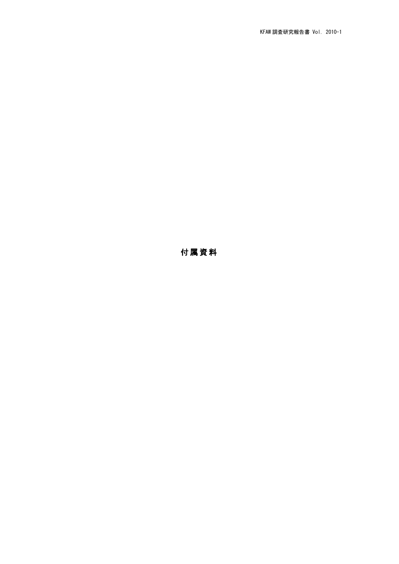## 付属資料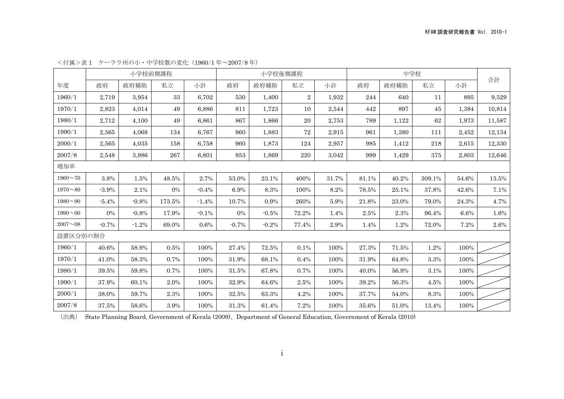|                       |          |         | 小学校前期課程 |          |          | 小学校後期課程 |                |       | 中学校   |       |        |       |        |
|-----------------------|----------|---------|---------|----------|----------|---------|----------------|-------|-------|-------|--------|-------|--------|
| 年度                    | 政府       | 政府補助    | 私立      | 小計       | 政府       | 政府補助    | 私立             | 小計    | 政府    | 政府補助  | 私立     | 小計    | 合計     |
| 1960/1                | 2,719    | 3,954   | 33      | 6,702    | 530      | 1,400   | $\overline{2}$ | 1,932 | 244   | 640   | 11     | 895   | 9,529  |
| 1970/1                | 2,823    | 4,014   | 49      | 6,886    | 811      | 1,723   | 10             | 2,544 | 442   | 897   | 45     | 1,384 | 10,814 |
| 1980/1                | 2,712    | 4,100   | 49      | 6,861    | 867      | 1.866   | 20             | 2,753 | 789   | 1,122 | 62     | 1,973 | 11,587 |
| 1990/1                | 2,565    | 4,068   | 134     | 6,767    | 960      | 1,883   | 72             | 2,915 | 961   | 1,380 | 111    | 2,452 | 12,134 |
| 2000/1                | 2,565    | 4,035   | 158     | 6,758    | 960      | 1,873   | 124            | 2,957 | 985   | 1,412 | 218    | 2,615 | 12,330 |
| 2007/8                | 2,548    | 3,986   | 267     | 6,801    | 953      | 1,869   | 220            | 3,042 | 999   | 1,429 | 375    | 2,803 | 12,646 |
| 増加率                   |          |         |         |          |          |         |                |       |       |       |        |       |        |
| $1960 - 70$           | 3.8%     | 1.5%    | 48.5%   | 2.7%     | 53.0%    | 23.1%   | 400%           | 31.7% | 81.1% | 40.2% | 309.1% | 54.6% | 13.5%  |
| $1970 - 80$           | $-3.9%$  | 2.1%    | 0%      | $-0.4%$  | 6.9%     | 8.3%    | 100%           | 8.2%  | 78.5% | 25.1% | 37.8%  | 42.6% | 7.1%   |
| $1980 - 90$           | $-5.4%$  | $-0.8%$ | 173.5%  | $-1.4%$  | 10.7%    | 0.9%    | 260%           | 5.9%  | 21.8% | 23.0% | 79.0%  | 24.3% | 4.7%   |
| $1990 - 00$           | $0\%$    | $-0.8%$ | 17.9%   | $-0.1\%$ | 0%       | $-0.5%$ | 72.2%          | 1.4%  | 2.5%  | 2.3%  | 96.4%  | 6.6%  | 1.6%   |
| $2007\mathtt{\sim}08$ | $-0.7\%$ | $-1.2%$ | 69.0%   | 0.6%     | $-0.7\%$ | $-0.2%$ | 77.4%          | 2.9%  | 1.4%  | 1.2%  | 72.0%  | 7.2%  | 2.6%   |
| 設置区分別の割合              |          |         |         |          |          |         |                |       |       |       |        |       |        |
| 1960/1                | 40.6%    | 58.9%   | 0.5%    | 100%     | 27.4%    | 72.5%   | 0.1%           | 100%  | 27.3% | 71.5% | 1.2%   | 100%  |        |
| 1970/1                | 41.0%    | 58.3%   | 0.7%    | 100%     | 31.9%    | 68.1%   | 0.4%           | 100%  | 31.9% | 64.8% | 3.3%   | 100%  |        |
| 1980/1                | 39.5%    | 59.8%   | 0.7%    | 100%     | 31.5%    | 67.8%   | 0.7%           | 100%  | 40.0% | 56.9% | 3.1%   | 100%  |        |
| 1990/1                | 37.9%    | 60.1%   | 2.0%    | 100%     | 32.9%    | 64.6%   | 2.5%           | 100%  | 39.2% | 56.3% | 4.5%   | 100%  |        |
| 2000/1                | 38.0%    | 59.7%   | 2.3%    | 100%     | 32.5%    | 63.3%   | 4.2%           | 100%  | 37.7% | 54.0% | 8.3%   | 100%  |        |
| 2007/8                | 37.5%    | 58.6%   | 3.9%    | 100%     | 31.3%    | 61.4%   | 7.2%           | 100%  | 35.6% | 51.0% | 13.4%  | 100%  |        |

<付属>表 1 ケーララ州の小・中学校数の変化(1960⁄1 年~2007⁄8 年)

(出典) State Planning Board, Government of Kerala (2009)、Department of General Education, Government of Kerala (2010)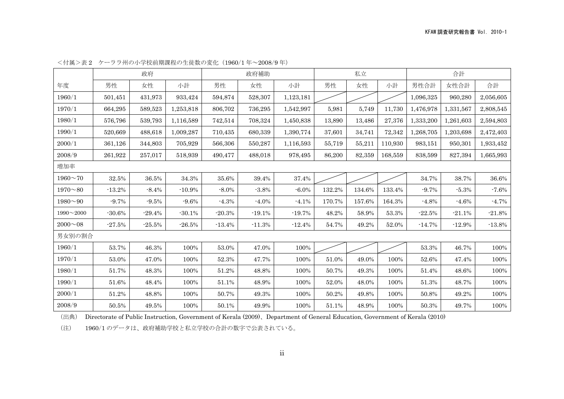|                 |          | 政府       |           |          | 政府補助     |           | 私立     |        |         | 合計        |           |           |
|-----------------|----------|----------|-----------|----------|----------|-----------|--------|--------|---------|-----------|-----------|-----------|
| 年度              | 男性       | 女性       | 小計        | 男性       | 女性       | 小計        | 男性     | 女性     | 小計      | 男性合計      | 女性合計      | 合計        |
| 1960/1          | 501,451  | 431,973  | 933,424   | 594,874  | 528,307  | 1,123,181 |        |        |         | 1,096,325 | 960,280   | 2,056,605 |
| 1970/1          | 664,295  | 589,523  | 1,253,818 | 806,702  | 736,295  | 1,542,997 | 5,981  | 5,749  | 11,730  | 1,476,978 | 1,331,567 | 2,808,545 |
| 1980/1          | 576,796  | 539,793  | 1,116,589 | 742,514  | 708,324  | 1,450,838 | 13,890 | 13,486 | 27,376  | 1,333,200 | 1,261,603 | 2,594,803 |
| 1990/1          | 520,669  | 488,618  | 1,009,287 | 710,435  | 680,339  | 1,390,774 | 37,601 | 34,741 | 72,342  | 1,268,705 | 1,203,698 | 2,472,403 |
| 2000/1          | 361,126  | 344,803  | 705,929   | 566,306  | 550,287  | 1,116,593 | 55,719 | 55,211 | 110,930 | 983,151   | 950,301   | 1,933,452 |
| 2008/9          | 261,922  | 257,017  | 518,939   | 490,477  | 488,018  | 978,495   | 86,200 | 82,359 | 168,559 | 838,599   | 827,394   | 1,665,993 |
| 増加率             |          |          |           |          |          |           |        |        |         |           |           |           |
| $1960 - 70$     | 32.5%    | 36.5%    | 34.3%     | 35.6%    | 39.4%    | 37.4%     |        |        |         | 34.7%     | 38.7%     | 36.6%     |
| $1970 - 80$     | $-13.2%$ | $-8.4%$  | $-10.9\%$ | $-8.0\%$ | $-3.8%$  | $-6.0\%$  | 132.2% | 134.6% | 133.4%  | $-9.7%$   | $-5.3%$   | $-7.6\%$  |
| $1980^{\sim}90$ | $-9.7%$  | $-9.5%$  | $-9.6%$   | $-4.3%$  | $-4.0%$  | $-4.1%$   | 170.7% | 157.6% | 164.3%  | $-4.8%$   | $-4.6%$   | $-4.7%$   |
| $1990 - 2000$   | $-30.6%$ | $-29.4%$ | $-30.1%$  | $-20.3%$ | $-19.1%$ | $-19.7%$  | 48.2%  | 58.9%  | 53.3%   | $-22.5%$  | $-21.1%$  | $-21.8%$  |
| $2000 - 08$     | $-27.5%$ | $-25.5%$ | $-26.5%$  | $-13.4%$ | $-11.3%$ | $-12.4%$  | 54.7%  | 49.2%  | 52.0%   | $-14.7%$  | $-12.9%$  | $-13.8%$  |
| 男女別の割合          |          |          |           |          |          |           |        |        |         |           |           |           |
| 1960/1          | 53.7%    | 46.3%    | 100%      | 53.0%    | 47.0%    | 100%      |        |        |         | 53.3%     | 46.7%     | 100%      |
| 1970/1          | 53.0%    | 47.0%    | 100%      | 52.3%    | 47.7%    | 100%      | 51.0%  | 49.0%  | 100%    | 52.6%     | 47.4%     | 100%      |
| 1980/1          | 51.7%    | 48.3%    | 100%      | 51.2%    | 48.8%    | 100%      | 50.7%  | 49.3%  | 100%    | 51.4%     | 48.6%     | 100%      |
| 1990/1          | 51.6%    | 48.4%    | 100%      | 51.1%    | 48.9%    | 100%      | 52.0%  | 48.0%  | 100%    | $51.3\%$  | 48.7%     | 100%      |
| 2000/1          | 51.2%    | 48.8%    | 100%      | 50.7%    | 49.3%    | 100%      | 50.2%  | 49.8%  | 100%    | 50.8%     | 49.2%     | 100%      |
| 2008/9          | 50.5%    | 49.5%    | 100%      | 50.1%    | 49.9%    | 100%      | 51.1%  | 48.9%  | 100%    | 50.3%     | 49.7%     | 100%      |

<付属>表 2 ケーララ州の小学校前期課程の生徒数の変化(1960⁄1 年~2008⁄9 年)

(注) 1960⁄1 のデータは、政府補助学校と私立学校の合計の数字で公表されている。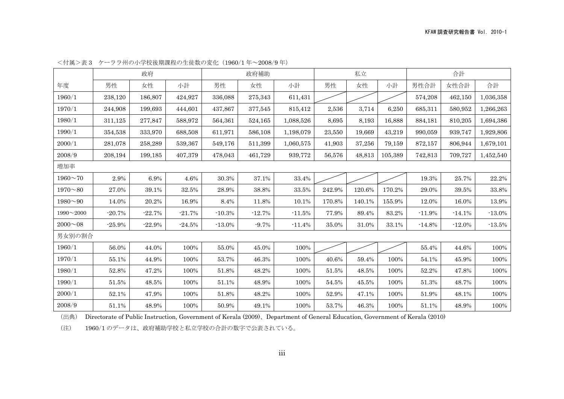|                 |          | 政府       |          |          | 政府補助     |           | 私立     |        |         | 合計       |          |           |
|-----------------|----------|----------|----------|----------|----------|-----------|--------|--------|---------|----------|----------|-----------|
| 年度              | 男性       | 女性       | 小計       | 男性       | 女性       | 小計        | 男性     | 女性     | 小計      | 男性合計     | 女性合計     | 合計        |
| 1960/1          | 238,120  | 186,807  | 424,927  | 336,088  | 275,343  | 611,431   |        |        |         | 574,208  | 462,150  | 1,036,358 |
| 1970/1          | 244,908  | 199,693  | 444,601  | 437,867  | 377,545  | 815,412   | 2,536  | 3,714  | 6,250   | 685,311  | 580,952  | 1,266,263 |
| 1980/1          | 311,125  | 277,847  | 588,972  | 564,361  | 524,165  | 1,088,526 | 8,695  | 8,193  | 16,888  | 884,181  | 810,205  | 1,694,386 |
| 1990/1          | 354,538  | 333,970  | 688,508  | 611,971  | 586,108  | 1,198,079 | 23,550 | 19,669 | 43,219  | 990,059  | 939,747  | 1,929,806 |
| 2000/1          | 281,078  | 258,289  | 539,367  | 549,176  | 511,399  | 1,060,575 | 41,903 | 37,256 | 79,159  | 872,157  | 806,944  | 1,679,101 |
| 2008/9          | 208,194  | 199,185  | 407,379  | 478,043  | 461,729  | 939,772   | 56,576 | 48,813 | 105,389 | 742,813  | 709,727  | 1,452,540 |
| 増加率             |          |          |          |          |          |           |        |        |         |          |          |           |
| $1960 - 70$     | 2.9%     | 6.9%     | 4.6%     | 30.3%    | 37.1%    | 33.4%     |        |        |         | 19.3%    | 25.7%    | 22.2%     |
| $1970 - 80$     | 27.0%    | 39.1%    | 32.5%    | 28.9%    | 38.8%    | 33.5%     | 242.9% | 120.6% | 170.2%  | 29.0%    | 39.5%    | 33.8%     |
| $1980^{\sim}90$ | 14.0%    | 20.2%    | 16.9%    | 8.4%     | 11.8%    | 10.1%     | 170.8% | 140.1% | 155.9%  | 12.0%    | 16.0%    | 13.9%     |
| $1990 - 2000$   | $-20.7%$ | $-22.7%$ | $-21.7%$ | $-10.3%$ | $-12.7%$ | $-11.5%$  | 77.9%  | 89.4%  | 83.2%   | $-11.9%$ | $-14.1%$ | $-13.0%$  |
| $2000 - 08$     | $-25.9%$ | $-22.9%$ | $-24.5%$ | $-13.0%$ | $-9.7%$  | $-11.4%$  | 35.0%  | 31.0%  | 33.1%   | $-14.8%$ | $-12.0%$ | $-13.5%$  |
| 男女別の割合          |          |          |          |          |          |           |        |        |         |          |          |           |
| 1960/1          | 56.0%    | 44.0%    | 100%     | 55.0%    | 45.0%    | 100%      |        |        |         | 55.4%    | 44.6%    | 100%      |
| 1970/1          | 55.1%    | 44.9%    | 100%     | 53.7%    | 46.3%    | 100%      | 40.6%  | 59.4%  | 100%    | 54.1%    | 45.9%    | 100%      |
| 1980/1          | 52.8%    | 47.2%    | 100%     | 51.8%    | 48.2%    | 100%      | 51.5%  | 48.5%  | 100%    | 52.2%    | 47.8%    | 100%      |
| 1990/1          | 51.5%    | 48.5%    | 100%     | 51.1%    | 48.9%    | 100%      | 54.5%  | 45.5%  | 100%    | 51.3%    | 48.7%    | 100%      |
| 2000/1          | 52.1%    | 47.9%    | 100%     | 51.8%    | 48.2%    | 100%      | 52.9%  | 47.1%  | 100%    | 51.9%    | 48.1%    | 100%      |
| 2008/9          | 51.1%    | 48.9%    | 100%     | 50.9%    | 49.1%    | 100%      | 53.7%  | 46.3%  | 100%    | 51.1%    | 48.9%    | 100%      |

<付属>表 3 ケーララ州の小学校後期課程の生徒数の変化(1960⁄1 年~2008⁄9 年)

(注) 1960⁄1 のデータは、政府補助学校と私立学校の合計の数字で公表されている。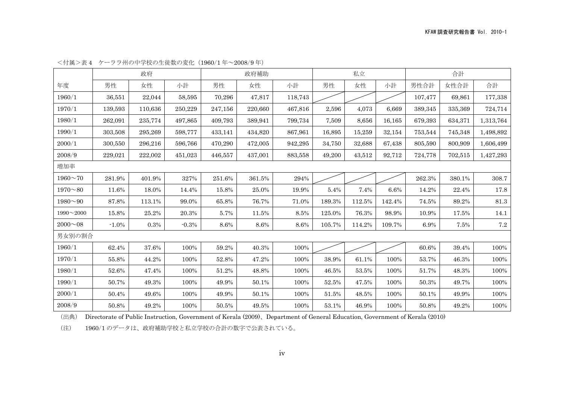|                  |          | 政府      |         |         | 政府補助    |         | 私立     |        |        |          |         |           |
|------------------|----------|---------|---------|---------|---------|---------|--------|--------|--------|----------|---------|-----------|
| 年度               | 男性       | 女性      | 小計      | 男性      | 女性      | 小計      | 男性     | 女性     | 小計     | 男性合計     | 女性合計    | 合計        |
| 1960/1           | 36,551   | 22,044  | 58,595  | 70,296  | 47,817  | 118,743 |        |        |        | 107,477  | 69,861  | 177,338   |
| 1970/1           | 139,593  | 110,636 | 250,229 | 247,156 | 220,660 | 467,816 | 2,596  | 4,073  | 6,669  | 389,345  | 335,369 | 724,714   |
| 1980/1           | 262,091  | 235,774 | 497,865 | 409,793 | 389,941 | 799,734 | 7,509  | 8,656  | 16,165 | 679,393  | 634,371 | 1,313,764 |
| 1990/1           | 303,508  | 295,269 | 598,777 | 433,141 | 434,820 | 867,961 | 16,895 | 15,259 | 32,154 | 753,544  | 745,348 | 1,498,892 |
| 2000/1           | 300,550  | 296,216 | 596,766 | 470,290 | 472,005 | 942,295 | 34,750 | 32,688 | 67,438 | 805,590  | 800,909 | 1,606,499 |
| 2008/9           | 229,021  | 222,002 | 451,023 | 446,557 | 437,001 | 883,558 | 49,200 | 43,512 | 92,712 | 724,778  | 702,515 | 1,427,293 |
| 増加率              |          |         |         |         |         |         |        |        |        |          |         |           |
| $1960 - 70$      | 281.9%   | 401.9%  | 327%    | 251.6%  | 361.5%  | 294%    |        |        |        | 262.3%   | 380.1%  | 308.7     |
| $1970 - 80$      | 11.6%    | 18.0%   | 14.4%   | 15.8%   | 25.0%   | 19.9%   | 5.4%   | 7.4%   | 6.6%   | 14.2%    | 22.4%   | 17.8      |
| $1980^{\sim}90$  | 87.8%    | 113.1%  | 99.0%   | 65.8%   | 76.7%   | 71.0%   | 189.3% | 112.5% | 142.4% | 74.5%    | 89.2%   | $81.3\,$  |
| $1990 \sim 2000$ | 15.8%    | 25.2%   | 20.3%   | 5.7%    | 11.5%   | 8.5%    | 125.0% | 76.3%  | 98.9%  | 10.9%    | 17.5%   | 14.1      |
| $2000 - 08$      | $-1.0\%$ | 0.3%    | $-0.3%$ | 8.6%    | 8.6%    | 8.6%    | 105.7% | 114.2% | 109.7% | 6.9%     | 7.5%    | $\!\!7.2$ |
| 男女別の割合           |          |         |         |         |         |         |        |        |        |          |         |           |
| 1960/1           | 62.4%    | 37.6%   | 100%    | 59.2%   | 40.3%   | 100%    |        |        |        | 60.6%    | 39.4%   | 100%      |
| 1970/1           | 55.8%    | 44.2%   | 100%    | 52.8%   | 47.2%   | 100%    | 38.9%  | 61.1%  | 100%   | 53.7%    | 46.3%   | 100%      |
| 1980/1           | 52.6%    | 47.4%   | 100%    | 51.2%   | 48.8%   | 100%    | 46.5%  | 53.5%  | 100%   | 51.7%    | 48.3%   | 100%      |
| 1990/1           | 50.7%    | 49.3%   | 100%    | 49.9%   | 50.1%   | 100%    | 52.5%  | 47.5%  | 100%   | $50.3\%$ | 49.7%   | 100%      |
| 2000/1           | 50.4%    | 49.6%   | 100%    | 49.9%   | 50.1%   | 100%    | 51.5%  | 48.5%  | 100%   | 50.1%    | 49.9%   | 100%      |
| 2008/9           | 50.8%    | 49.2%   | 100%    | 50.5%   | 49.5%   | 100%    | 53.1%  | 46.9%  | 100%   | 50.8%    | 49.2%   | 100%      |

<付属>表 4 ケーララ州の中学校の生徒数の変化(1960⁄1 年~2008⁄9 年)

(注) 1960⁄1 のデータは、政府補助学校と私立学校の合計の数字で公表されている。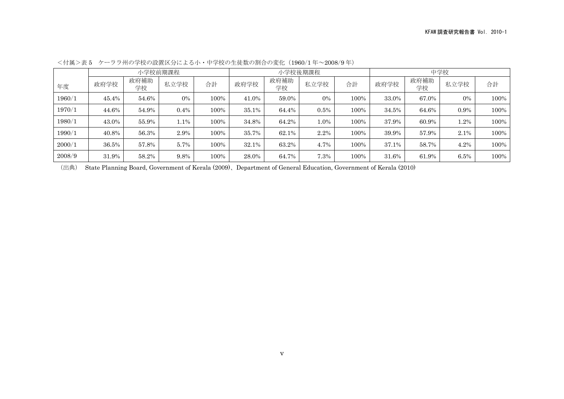|        |       |            | 小学校前期課程 |      |       |            | 小学校後期課程 |      | 中学校   |            |         |      |
|--------|-------|------------|---------|------|-------|------------|---------|------|-------|------------|---------|------|
| 年度     | 政府学校  | 政府補助<br>学校 | 私立学校    | 合計   | 政府学校  | 政府補助<br>学校 | 私立学校    | 合計   | 政府学校  | 政府補助<br>学校 | 私立学校    | 合計   |
| 1960/1 | 45.4% | 54.6%      | $0\%$   | 100% | 41.0% | 59.0%      | $0\%$   | 100% | 33.0% | 67.0%      | $0\%$   | 100% |
| 1970/1 | 44.6% | 54.9%      | $0.4\%$ | 100% | 35.1% | 64.4%      | 0.5%    | 100% | 34.5% | 64.6%      | $0.9\%$ | 100% |
| 1980/1 | 43.0% | 55.9%      | 1.1%    | 100% | 34.8% | 64.2%      | $1.0\%$ | 100% | 37.9% | 60.9%      | $1.2\%$ | 100% |
| 1990/1 | 40.8% | 56.3%      | 2.9%    | 100% | 35.7% | 62.1%      | 2.2%    | 100% | 39.9% | 57.9%      | 2.1%    | 100% |
| 2000/1 | 36.5% | 57.8%      | 5.7%    | 100% | 32.1% | 63.2%      | 4.7%    | 100% | 37.1% | 58.7%      | 4.2%    | 100% |
| 2008/9 | 31.9% | 58.2%      | 9.8%    | 100% | 28.0% | 64.7%      | 7.3%    | 100% | 31.6% | 61.9%      | 6.5%    | 100% |

<付属>表 5 ケーララ州の学校の設置区分による小・中学校の生徒数の割合の変化(1960⁄1 年~2008⁄9 年)

(出典) State Planning Board, Government of Kerala (2009)、Department of General Education, Government of Kerala (2010)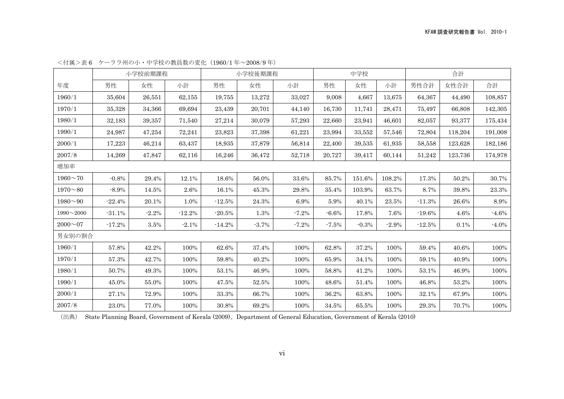|                 |          | 小学校前期課程 |          |          | 小学校後期課程 |         | 中学校     |         |         | 合計       |         |          |
|-----------------|----------|---------|----------|----------|---------|---------|---------|---------|---------|----------|---------|----------|
| 年度              | 男性       | 女性      | 小計       | 男性       | 女性      | 小計      | 男性      | 女性      | 小計      | 男性合計     | 女性合計    | 合計       |
| 1960/1          | 35.604   | 26,551  | 62,155   | 19,755   | 13,272  | 33,027  | 9,008   | 4,667   | 13.675  | 64,367   | 44,490  | 108,857  |
| 1970/1          | 35,328   | 34,366  | 69,694   | 23,439   | 20,701  | 44,140  | 16,730  | 11,741  | 28,471  | 75,497   | 66,808  | 142,305  |
| 1980/1          | 32,183   | 39,357  | 71,540   | 27,214   | 30,079  | 57,293  | 22,660  | 23,941  | 46,601  | 82,057   | 93,377  | 175,434  |
| 1990/1          | 24,987   | 47,254  | 72,241   | 23,823   | 37,398  | 61,221  | 23,994  | 33,552  | 57,546  | 72,804   | 118,204 | 191,008  |
| 2000/1          | 17,223   | 46,214  | 63,437   | 18,935   | 37,879  | 56,814  | 22,400  | 39,535  | 61,935  | 58,558   | 123,628 | 182,186  |
| 2007/8          | 14,269   | 47,847  | 62,116   | 16,246   | 36,472  | 52,718  | 20,727  | 39,417  | 60,144  | 51,242   | 123,736 | 174,978  |
| 増加率             |          |         |          |          |         |         |         |         |         |          |         |          |
| $1960^{\sim}70$ | $-0.8%$  | 29.4%   | 12.1%    | 18.6%    | 56.0%   | 33.6%   | 85.7%   | 151.6%  | 108.2%  | 17.3%    | 50.2%   | 30.7%    |
| $1970^{\sim}80$ | $-8.9%$  | 14.5%   | 2.6%     | 16.1%    | 45.3%   | 29.8%   | 35.4%   | 103.9%  | 63.7%   | 8.7%     | 39.8%   | 23.3%    |
| $1980^{\sim}90$ | $-22.4%$ | 20.1%   | 1.0%     | $-12.5%$ | 24.3%   | 6.9%    | 5.9%    | 40.1%   | 23.5%   | $-11.3%$ | 26.6%   | 8.9%     |
| $1990 - 2000$   | $-31.1%$ | $-2.2%$ | $-12.2%$ | $-20.5%$ | 1.3%    | $-7.2%$ | $-6.6%$ | 17.8%   | 7.6%    | $-19.6%$ | 4.6%    | $-4.6%$  |
| $2000 \sim 07$  | $-17.2%$ | 3.5%    | $-2.1%$  | $-14.2%$ | $-3.7%$ | $-7.2%$ | $-7.5%$ | $-0.3%$ | $-2.9%$ | $-12.5%$ | 0.1%    | $-4.0\%$ |
| 男女別の割合          |          |         |          |          |         |         |         |         |         |          |         |          |
| 1960/1          | 57.8%    | 42.2%   | 100%     | 62.6%    | 37.4%   | 100%    | 62.8%   | 37.2%   | 100%    | 59.4%    | 40.6%   | 100%     |
| 1970/1          | 57.3%    | 42.7%   | 100%     | 59.8%    | 40.2%   | 100%    | 65.9%   | 34.1%   | 100%    | 59.1%    | 40.9%   | 100%     |
| 1980/1          | 50.7%    | 49.3%   | 100%     | 53.1%    | 46.9%   | 100%    | 58.8%   | 41.2%   | 100%    | 53.1%    | 46.9%   | 100%     |
| 1990/1          | 45.0%    | 55.0%   | 100%     | 47.5%    | 52.5%   | 100%    | 48.6%   | 51.4%   | 100%    | 46.8%    | 53.2%   | 100%     |
| 2000/1          | 27.1%    | 72.9%   | 100%     | 33.3%    | 66.7%   | 100%    | 36.2%   | 63.8%   | 100%    | 32.1%    | 67.9%   | 100%     |
| 2007/8          | 23.0%    | 77.0%   | 100%     | 30.8%    | 69.2%   | 100%    | 34.5%   | 65.5%   | 100%    | 29.3%    | 70.7%   | 100%     |

<付属>表 6 ケーララ州の小・中学校の教員数の変化(1960⁄1 年~2008⁄9 年)

(出典) State Planning Board, Government of Kerala (2009)、Department of General Education, Government of Kerala (2010)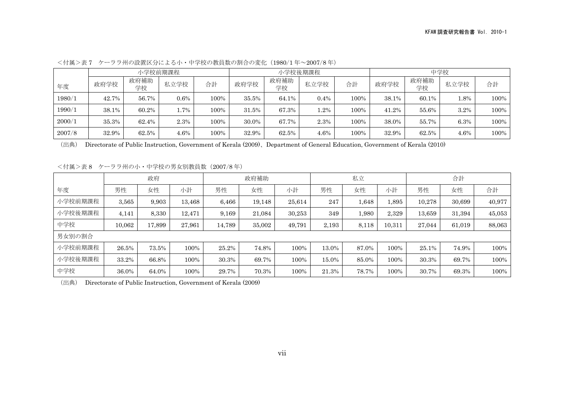|        |       |            | 小学校前期課程 |      |       |            | 小学校後期課程 |      | 中学校   |            |        |      |
|--------|-------|------------|---------|------|-------|------------|---------|------|-------|------------|--------|------|
| 年度     | 政府学校  | 政府補助<br>学校 | 私立学校    | 合計   | 政府学校  | 政府補助<br>学校 | 私立学校    | 合計   | 政府学校  | 政府補助<br>学校 | 私立学校   | 合計   |
| 1980/1 | 42.7% | 56.7%      | $0.6\%$ | 100% | 35.5% | 64.1%      | 0.4%    | 100% | 38.1% | 60.1%      | $.8\%$ | 100% |
| 1990/1 | 38.1% | 60.2%      | 1.7%    | 100% | 31.5% | 67.3%      | $.2\%$  | 100% | 41.2% | 55.6%      | 3.2%   | 100% |
| 2000/1 | 35.3% | 62.4%      | 2.3%    | 100% | 30.0% | 67.7%      | 2.3%    | 100% | 38.0% | 55.7%      | 6.3%   | 100% |
| 2007/8 | 32.9% | 62.5%      | $4.6\%$ | 100% | 32.9% | 62.5%      | 4.6%    | 100% | 32.9% | 62.5%      | 4.6%   | 100% |

<付属>表 7 ケーララ州の設置区分による小・中学校の教員数の割合の変化(1980⁄1 年~2007⁄8 年)

<付属>表 8 ケーララ州の小・中学校の男女別教員数(2007⁄8 年)

|         | 政府     |        | 政府補助   |        |        | 私立     |       |       | 合計     |        |        |        |
|---------|--------|--------|--------|--------|--------|--------|-------|-------|--------|--------|--------|--------|
| 年度      | 男性     | 女性     | 小計     | 男性     | 女性     | 小計     | 男性    | 女性    | 小計     | 男性     | 女性     | 合計     |
| 小学校前期課程 | 3,565  | 9,903  | 13,468 | 6.466  | 19.148 | 25,614 | 247   | 1,648 | 1,895  | 10,278 | 30,699 | 40,977 |
| 小学校後期課程 | 4,141  | 8,330  | 12,471 | 9.169  | 21.084 | 30.253 | 349   | 1,980 | 2,329  | 13,659 | 31,394 | 45,053 |
| 中学校     | 10,062 | 17,899 | 27,961 | 14.789 | 35,002 | 49,791 | 2,193 | 8,118 | 10,311 | 27,044 | 61,019 | 88,063 |
| 男女別の割合  |        |        |        |        |        |        |       |       |        |        |        |        |
| 小学校前期課程 | 26.5%  | 73.5%  | 100%   | 25.2%  | 74.8%  | 100%   | 13.0% | 87.0% | 100%   | 25.1%  | 74.9%  | 100%   |
| 小学校後期課程 | 33.2%  | 66.8%  | 100%   | 30.3%  | 69.7%  | 100%   | 15.0% | 85.0% | 100%   | 30.3%  | 69.7%  | 100%   |
| 中学校     | 36.0%  | 64.0%  | 100%   | 29.7%  | 70.3%  | 100%   | 21.3% | 78.7% | 100%   | 30.7%  | 69.3%  | 100%   |

(出典) Directorate of Public Instruction, Government of Kerala (2009)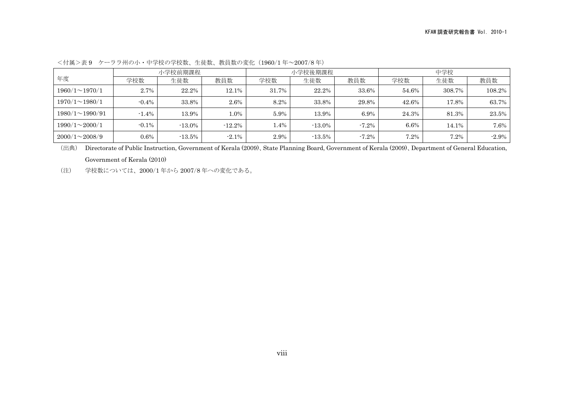|                       |          | 小学校前期課程   |           |       | 小学校後期課程   |          | 中学校   |        |          |  |
|-----------------------|----------|-----------|-----------|-------|-----------|----------|-------|--------|----------|--|
| 年度                    | 学校数      | 生徒数       | 教員数       | 学校数   | 生徒数       | 教員数      | 学校数   | 生徒数    | 教員数      |  |
| $1960/1 \sim 1970/1$  | 2.7%     | 22.2%     | 12.1%     | 31.7% | 22.2%     | 33.6%    | 54.6% | 308.7% | 108.2%   |  |
| $1970/1 \sim 1980/1$  | $-0.4\%$ | 33.8%     | 2.6%      | 8.2%  | 33.8%     | 29.8%    | 42.6% | 17.8%  | 63.7%    |  |
| $1980/1 \sim 1990/91$ | $-1.4\%$ | 13.9%     | 1.0%      | 5.9%  | 13.9%     | 6.9%     | 24.3% | 81.3%  | 23.5%    |  |
| $1990/1 \sim 2000/1$  | $-0.1\%$ | $-13.0\%$ | $-12.2\%$ | 1.4%  | $-13.0\%$ | $-7.2\%$ | 6.6%  | 14.1%  | $7.6\%$  |  |
| $2000/1 \sim 2008/9$  | $0.6\%$  | $-13.5\%$ | $-2.1\%$  | 2.9%  | $-13.5\%$ | $-7.2\%$ | 7.2%  | 7.2%   | $-2.9\%$ |  |

<付属>表 9 ケーララ州の小・中学校の学校数、生徒数、教員数の変化(1960⁄1 年~2007⁄8 年)

(出典) Directorate of Public Instruction, Government of Kerala (2009)、State Planning Board, Government of Kerala (2009)、Department of General Education, Government of Kerala (2010)

(注) 学校数については、2000⁄1 年から 2007⁄8 年への変化である。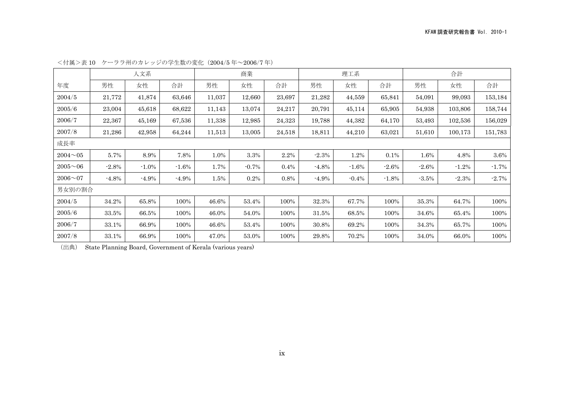|             | 人文系      |          |          | 商業     |         | 理工系    |         |         | 合計       |         |         |          |
|-------------|----------|----------|----------|--------|---------|--------|---------|---------|----------|---------|---------|----------|
| 年度          | 男性       | 女性       | 合計       | 男性     | 女性      | 合計     | 男性      | 女性      | 合計       | 男性      | 女性      | 合計       |
| 2004/5      | 21,772   | 41,874   | 63,646   | 11,037 | 12,660  | 23,697 | 21,282  | 44,559  | 65,841   | 54,091  | 99,093  | 153,184  |
| 2005/6      | 23,004   | 45,618   | 68,622   | 11,143 | 13,074  | 24,217 | 20,791  | 45,114  | 65,905   | 54,938  | 103,806 | 158,744  |
| 2006/7      | 22,367   | 45,169   | 67,536   | 11,338 | 12,985  | 24,323 | 19,788  | 44,382  | 64,170   | 53,493  | 102,536 | 156,029  |
| 2007/8      | 21,286   | 42,958   | 64,244   | 11,513 | 13,005  | 24,518 | 18,811  | 44,210  | 63,021   | 51,610  | 100,173 | 151,783  |
| 成長率         |          |          |          |        |         |        |         |         |          |         |         |          |
| $2004 - 05$ | 5.7%     | 8.9%     | 7.8%     | 1.0%   | 3.3%    | 2.2%   | $-2.3%$ | 1.2%    | $0.1\%$  | 1.6%    | 4.8%    | $3.6\%$  |
| $2005 - 06$ | $-2.8%$  | $-1.0\%$ | $-1.6%$  | 1.7%   | $-0.7%$ | 0.4%   | $-4.8%$ | $-1.6%$ | $-2.6\%$ | $-2.6%$ | $-1.2%$ | $-1.7\%$ |
| $2006 - 07$ | $-4.8\%$ | $-4.9\%$ | $-4.9\%$ | 1.5%   | 0.2%    | 0.8%   | $-4.9%$ | $-0.4%$ | $-1.8%$  | $-3.5%$ | $-2.3%$ | $-2.7%$  |
| 男女別の割合      |          |          |          |        |         |        |         |         |          |         |         |          |
| 2004/5      | 34.2%    | 65.8%    | 100%     | 46.6%  | 53.4%   | 100%   | 32.3%   | 67.7%   | 100%     | 35.3%   | 64.7%   | 100%     |
| 2005/6      | 33.5%    | 66.5%    | 100%     | 46.0%  | 54.0%   | 100%   | 31.5%   | 68.5%   | 100%     | 34.6%   | 65.4%   | 100%     |
| 2006/7      | 33.1%    | 66.9%    | 100%     | 46.6%  | 53.4%   | 100%   | 30.8%   | 69.2%   | 100%     | 34.3%   | 65.7%   | 100%     |
| 2007/8      | 33.1%    | 66.9%    | 100%     | 47.0%  | 53.0%   | 100%   | 29.8%   | 70.2%   | 100%     | 34.0%   | 66.0%   | 100%     |

<付属>表 10 ケーララ州のカレッジの学生数の変化(2004⁄5 年~2006⁄7 年)

(出典) State Planning Board, Government of Kerala (various years)